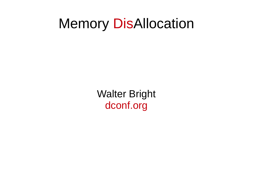## Memory DisAllocation

Walter Bright dconf.org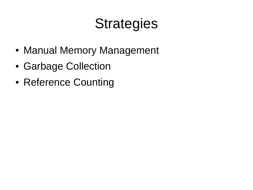# **Strategies**

- Manual Memory Management
- Garbage Collection
- Reference Counting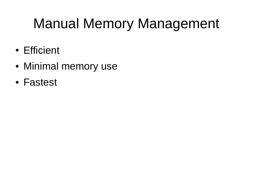# Manual Memory Management

- Efficient
- Minimal memory use
- Fastest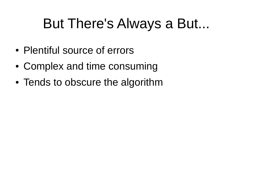# But There's Always a But...

- Plentiful source of errors
- Complex and time consuming
- Tends to obscure the algorithm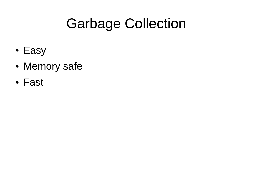# Garbage Collection

- Easy
- Memory safe
- Fast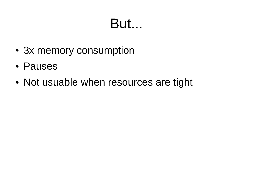# But...

- 3x memory consumption
- Pauses
- Not usuable when resources are tight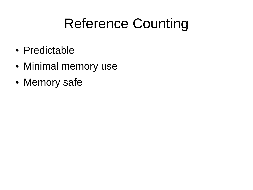# Reference Counting

- Predictable
- Minimal memory use
- Memory safe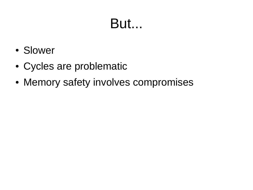# But...

- Slower
- Cycles are problematic
- Memory safety involves compromises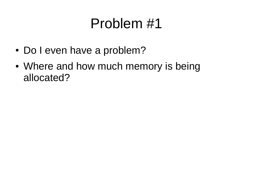# Problem #1

- Do I even have a problem?
- Where and how much memory is being allocated?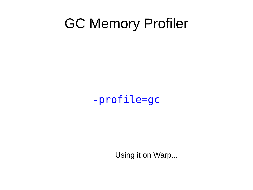### GC Memory Profiler

#### -profile=gc

Using it on Warp...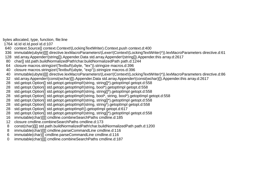bytes allocated, type, function, file:line

1764 id.Id id.Id.pool id.d:107

- 640 context.Source[] context.Context!(LockingTextWriter).Context.push context.d:400
- 336 immutable(ubyte)[][] directive.lexMacroParameters!(Lexer!(Context!(LockingTextWriter)\*)).lexMacroParameters directive.d:61
- 128 std.array.Appender!(string[]).Appender.Data std.array.Appender!(string[]).Appender.this array.d:2617
- 80 char[] std.path.buildNormalizedPath!char.buildNormalizedPath path.d:1244
- 64 closure macros.stringize!(Textbuf!(ubyte, "lex")).stringize macros.d:396
- 40 closure macros.stringize!(Textbuf!(ubyte, "exp")).stringize macros.d:396
- 40 immutable(ubyte)[][] directive.lexMacroParameters!(Lexer!(Context!(LockingTextWriter)\*)).lexMacroParameters directive.d:86
- 32 std.array.Appender!(const(wchar)[]).Appender.Data std.array.Appender!(const(wchar)[]).Appender.this array.d:2617
- 28 std.getopt.Option[] std.getopt.getoptImpl!(string, string[]\*).getoptImpl getopt.d:558
- 28 std.getopt.Option[] std.getopt.getopt|mpl!(string, bool\*).getopt|mpl getopt.d:558
- 28 std.getopt.Option<sup>[]</sup> std.getopt.getoptImpl!(string, string<sup>[]\*</sup>).getoptImpl getopt.d:558
- 28 std.getopt.Option[] std.getopt.getoptImpl!(string, bool\*, string, bool\*).getoptImpl getopt.d:558
- 28 std.getopt.Option[] std.getopt.getoptImpl!(string, string[]\*).getoptImpl getopt.d:558
- 28 std.getopt.Option[] std.getopt.getoptImpl!(string, string\*).getoptImpl getopt.d:558
- 28 std.getopt.Option[] std.getopt.getoptImpl!().getoptImpl getopt.d:617
- 28 std.getopt.Option[] std.getopt.getoptImpl!(string, string[]\*).getoptImpl getopt.d:558
- 16 immutable(char)[][] cmdline.combineSearchPaths cmdline.d:185
- 12 closure cmdline.combineSearchPaths cmdline.d:173
- 8 const(char)[1] std.path.buildNormalizedPath!char.buildNormalizedPath path.d:1200
- 8 immutable(char)[I] cmdline.parseCommandLine cmdline.d:116
- 6 immutable(char)[] cmdline.parseCommandLine cmdline.d:116
- 0 immutable(char)[][] cmdline.combineSearchPaths cmdline.d:187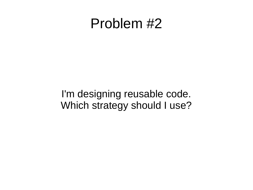#### Problem #2

I'm designing reusable code. Which strategy should I use?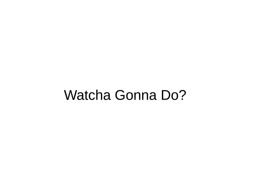#### Watcha Gonna Do?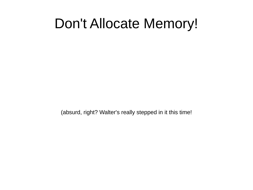#### Don't Allocate Memory!

(absurd, right? Walter's really stepped in it this time!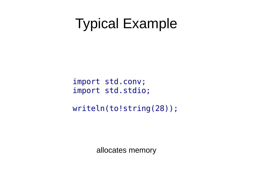### Typical Example

import std.conv; import std.stdio;

writeln(to!string(28));

allocates memory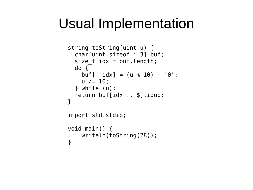# Usual Implementation

```
string toString(uint u) {
   char[uint.sizeof * 3] buf;
  size t idx = buf.length;
   do {
    buf[-idx] = (u % 10) + '0';
    u /= 10;
   } while (u);
   return buf[idx .. $].idup;
}
import std.stdio;
void main() {
     writeln(toString(28));
}
```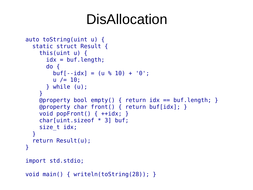## DisAllocation

```
auto toString(uint u) {
   static struct Result {
     this(uint u) {
      idx = but.length; do {
        buf[-idx] = (u % 10) + '0';
        u /= 10;
       } while (u);
     }
     @property bool empty() { return idx == buf.length; }
     @property char front() { return buf[idx]; }
     void popFront() { ++idx; }
     char[uint.sizeof * 3] buf;
    size t idx;
   }
   return Result(u);
}
import std.stdio;
void main() { writeln(toString(28)); }
```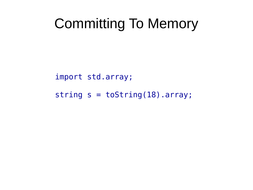## Committing To Memory

import std.array;

string  $s = toString(18) .array;$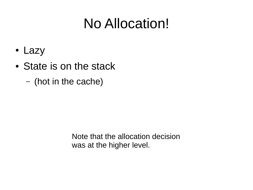# No Allocation!

- Lazy
- State is on the stack
	- (hot in the cache)

Note that the allocation decision was at the higher level.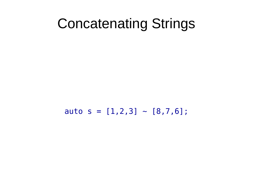#### Concatenating Strings

auto  $s = [1, 2, 3]$  ~  $[8, 7, 6]$ ;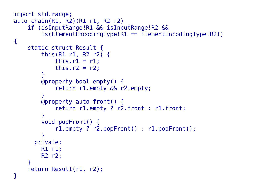```
import std.range;
auto chain(R1, R2)(R1 r1, R2 r2)
     if (isInputRange!R1 && isInputRange!R2 &&
         is(ElementEncodingType!R1 == ElementEncodingType!R2))
{
     static struct Result {
         this(R1 r1, R2 r2) {
            this.r1 = r1;
            this.r2 = r2;
 }
         @property bool empty() {
             return r1.empty && r2.empty;
 }
         @property auto front() {
             return r1.empty ? r2.front : r1.front;
 }
         void popFront() {
             r1.empty ? r2.popFront() : r1.popFront();
 }
       private:
         R1 r1;
         R2 r2;
     }
     return Result(r1, r2);
}
```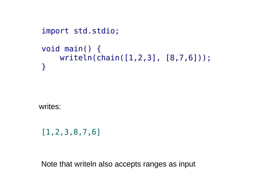```
import std.stdio;
void main() {
     writeln(chain([1,2,3], [8,7,6]));
}
```
writes:

[1,2,3,8,7,6]

Note that writeln also accepts ranges as input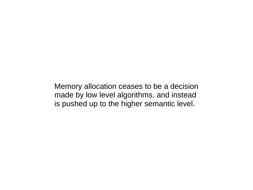Memory allocation ceases to be a decision made by low level algorithms, and instead is pushed up to the higher semantic level.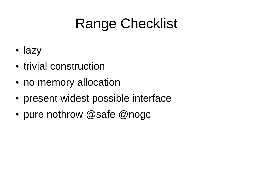# Range Checklist

- lazy
- trivial construction
- no memory allocation
- present widest possible interface
- pure nothrow @safe @nogc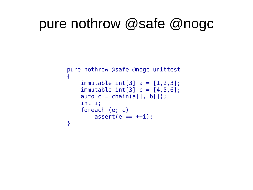### pure nothrow @safe @nogc

```
pure nothrow @safe @nogc unittest 
\{immutable int[3] a = [1,2,3];
    immutable int[3] b = [4,5,6];
    auto c = chain(a[], b[]); int i; 
     foreach (e; c)
        assert(e == ++i);}
```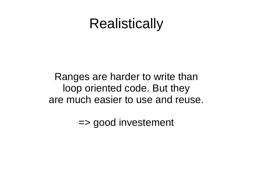## **Realistically**

Ranges are harder to write than loop oriented code. But they are much easier to use and reuse.

=> good investement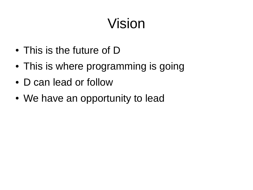# Vision

- This is the future of D
- This is where programming is going
- D can lead or follow
- We have an opportunity to lead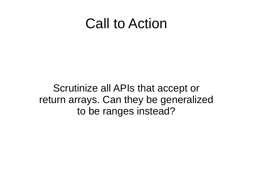#### Call to Action

Scrutinize all APIs that accept or return arrays. Can they be generalized to be ranges instead?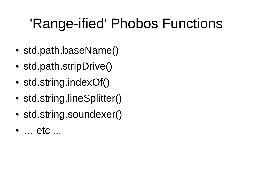# 'Range-ified' Phobos Functions

- std.path.baseName()
- std.path.stripDrive()
- std.string.indexOf()
- std.string.lineSplitter()
- std.string.soundexer()
- ... etc ...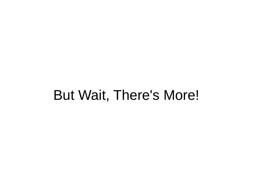### But Wait, There's More!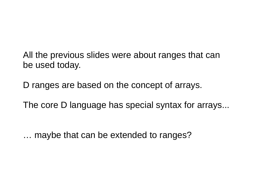All the previous slides were about ranges that can be used today.

D ranges are based on the concept of arrays.

The core D language has special syntax for arrays...

… maybe that can be extended to ranges?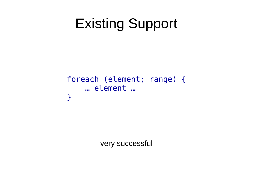# Existing Support

#### foreach (element; range) { … element … }

very successful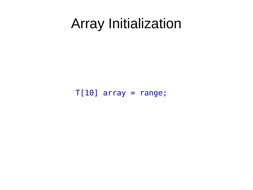#### Array Initialization

 $T[10]$  array = range;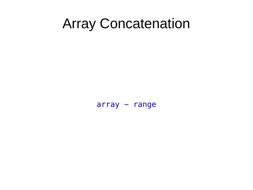#### Array Concatenation

 $array$   $\sim$  range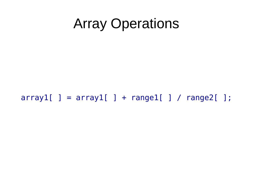## Array Operations

#### $array1[ ] = array1[ ] + range1[ ] / range2[ ];$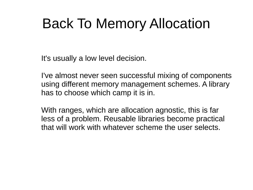# Back To Memory Allocation

It's usually a low level decision.

I've almost never seen successful mixing of components using different memory management schemes. A library has to choose which camp it is in.

With ranges, which are allocation agnostic, this is far less of a problem. Reusable libraries become practical that will work with whatever scheme the user selects.